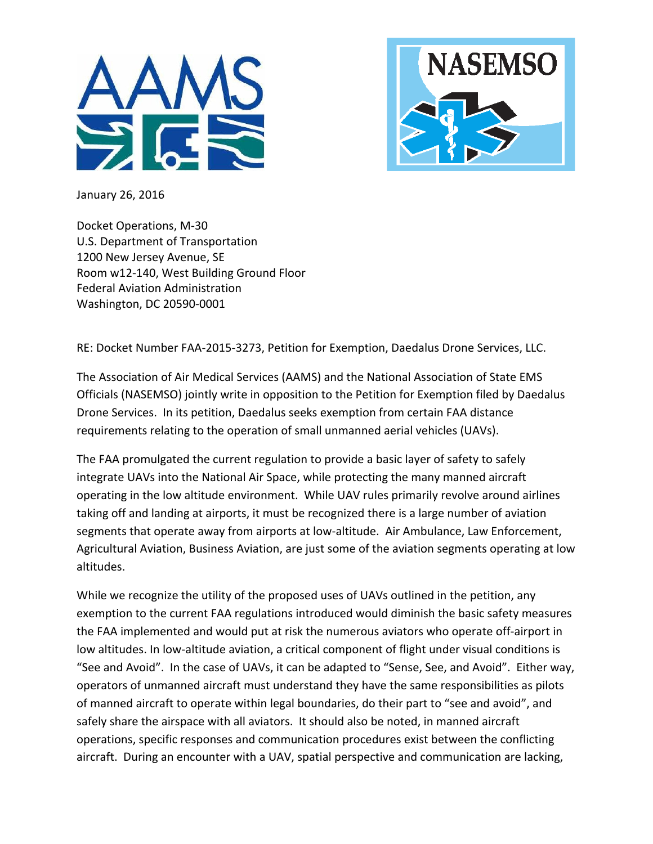



January 26, 2016

Docket Operations, M-30 U.S. Department of Transportation 1200 New Jersey Avenue, SE Room w12-140, West Building Ground Floor Federal Aviation Administration Washington, DC 20590-0001

RE: Docket Number FAA-2015-3273, Petition for Exemption, Daedalus Drone Services, LLC.

The Association of Air Medical Services (AAMS) and the National Association of State EMS Officials (NASEMSO) jointly write in opposition to the Petition for Exemption filed by Daedalus Drone Services. In its petition, Daedalus seeks exemption from certain FAA distance requirements relating to the operation of small unmanned aerial vehicles (UAVs).

The FAA promulgated the current regulation to provide a basic layer of safety to safely integrate UAVs into the National Air Space, while protecting the many manned aircraft operating in the low altitude environment. While UAV rules primarily revolve around airlines taking off and landing at airports, it must be recognized there is a large number of aviation segments that operate away from airports at low-altitude. Air Ambulance, Law Enforcement, Agricultural Aviation, Business Aviation, are just some of the aviation segments operating at low altitudes. 

While we recognize the utility of the proposed uses of UAVs outlined in the petition, any exemption to the current FAA regulations introduced would diminish the basic safety measures the FAA implemented and would put at risk the numerous aviators who operate off-airport in low altitudes. In low-altitude aviation, a critical component of flight under visual conditions is "See and Avoid". In the case of UAVs, it can be adapted to "Sense, See, and Avoid". Either way, operators of unmanned aircraft must understand they have the same responsibilities as pilots of manned aircraft to operate within legal boundaries, do their part to "see and avoid", and safely share the airspace with all aviators. It should also be noted, in manned aircraft operations, specific responses and communication procedures exist between the conflicting aircraft. During an encounter with a UAV, spatial perspective and communication are lacking,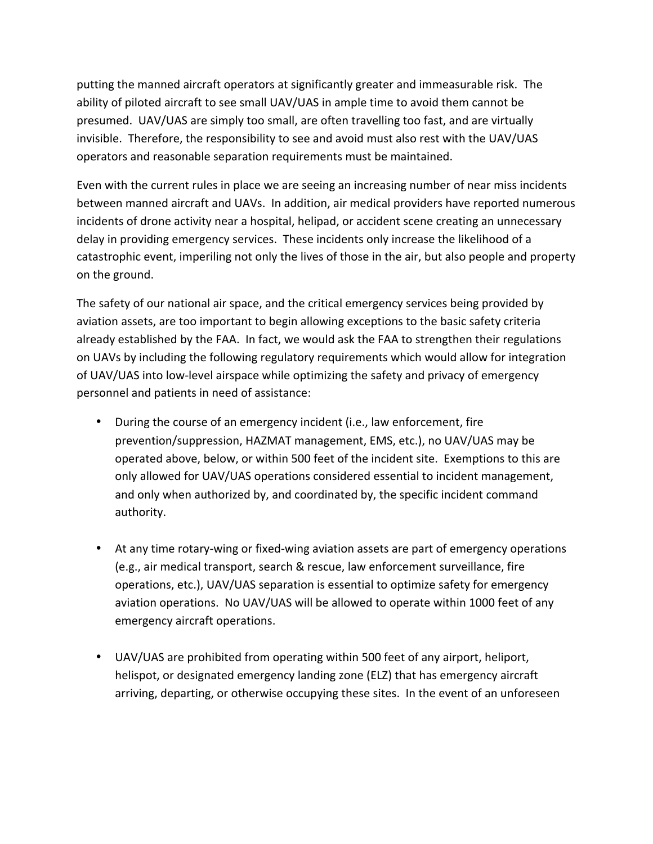putting the manned aircraft operators at significantly greater and immeasurable risk. The ability of piloted aircraft to see small UAV/UAS in ample time to avoid them cannot be presumed. UAV/UAS are simply too small, are often travelling too fast, and are virtually invisible. Therefore, the responsibility to see and avoid must also rest with the UAV/UAS operators and reasonable separation requirements must be maintained.

Even with the current rules in place we are seeing an increasing number of near miss incidents between manned aircraft and UAVs. In addition, air medical providers have reported numerous incidents of drone activity near a hospital, helipad, or accident scene creating an unnecessary delay in providing emergency services. These incidents only increase the likelihood of a catastrophic event, imperiling not only the lives of those in the air, but also people and property on the ground.

The safety of our national air space, and the critical emergency services being provided by aviation assets, are too important to begin allowing exceptions to the basic safety criteria already established by the FAA. In fact, we would ask the FAA to strengthen their regulations on UAVs by including the following regulatory requirements which would allow for integration of UAV/UAS into low-level airspace while optimizing the safety and privacy of emergency personnel and patients in need of assistance:

- During the course of an emergency incident (i.e., law enforcement, fire prevention/suppression, HAZMAT management, EMS, etc.), no UAV/UAS may be operated above, below, or within 500 feet of the incident site. Exemptions to this are only allowed for UAV/UAS operations considered essential to incident management, and only when authorized by, and coordinated by, the specific incident command authority.
- At any time rotary-wing or fixed-wing aviation assets are part of emergency operations (e.g., air medical transport, search & rescue, law enforcement surveillance, fire operations, etc.), UAV/UAS separation is essential to optimize safety for emergency aviation operations. No UAV/UAS will be allowed to operate within 1000 feet of any emergency aircraft operations.
- UAV/UAS are prohibited from operating within 500 feet of any airport, heliport, helispot, or designated emergency landing zone (ELZ) that has emergency aircraft arriving, departing, or otherwise occupying these sites. In the event of an unforeseen